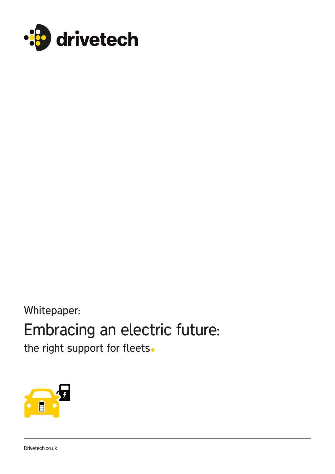

Whitepaper:

# Embracing an electric future:

the right support for fleets.



Drivetech.co.uk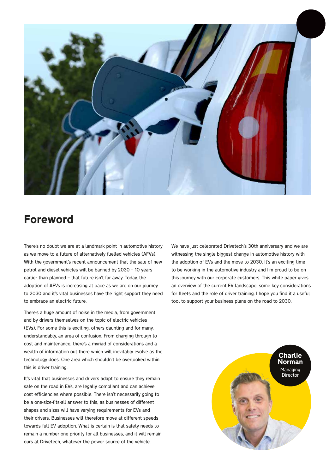

### Foreword

There's no doubt we are at a landmark point in automotive history as we move to a future of alternatively fuelled vehicles (AFVs). With the government's recent announcement that the sale of new petrol and diesel vehicles will be banned by 2030 – 10 years earlier than planned – that future isn't far away. Today, the adoption of AFVs is increasing at pace as we are on our journey to 2030 and it's vital businesses have the right support they need to embrace an electric future.

There's a huge amount of noise in the media, from government and by drivers themselves on the topic of electric vehicles (EVs). For some this is exciting, others daunting and for many, understandably, an area of confusion. From charging through to cost and maintenance, there's a myriad of considerations and a wealth of information out there which will inevitably evolve as the technology does. One area which shouldn't be overlooked within this is driver training.

It's vital that businesses and drivers adapt to ensure they remain safe on the road in EVs, are legally compliant and can achieve cost efficiencies where possible. There isn't necessarily going to be a one-size-fits-all answer to this, as businesses of different shapes and sizes will have varying requirements for EVs and their drivers. Businesses will therefore move at different speeds towards full EV adoption. What is certain is that safety needs to remain a number one priority for all businesses, and it will remain ours at Drivetech, whatever the power source of the vehicle.

We have just celebrated Drivetech's 30th anniversary and we are witnessing the single biggest change in automotive history with the adoption of EVs and the move to 2030. It's an exciting time to be working in the automotive industry and I'm proud to be on this journey with our corporate customers. This white paper gives an overview of the current EV landscape, some key considerations for fleets and the role of driver training. I hope you find it a useful tool to support your business plans on the road to 2030.

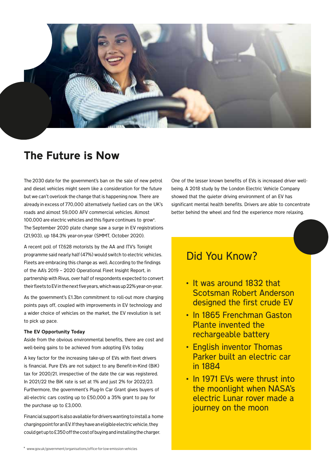

### The Future is Now

The 2030 date for the government's ban on the sale of new petrol and diesel vehicles might seem like a consideration for the future but we can't overlook the change that is happening now. There are already in excess of 770,000 alternatively fuelled cars on the UK's roads and almost 59,000 AFV commercial vehicles. Almost 100,000 are electric vehicles and this figure continues to grow\*. The September 2020 plate change saw a surge in EV registrations (21,903), up 184.3% year-on-year (SMMT, October 2020).

A recent poll of 17,628 motorists by the AA and ITV's Tonight programme said nearly half (47%) would switch to electric vehicles. Fleets are embracing this change as well. According to the findings of the AA's 2019 – 2020 Operational Fleet Insight Report, in partnership with Rivus, over half of respondents expected to convert their fleets to EV in the next five years, which was up 22% year-on-year.

As the government's £1.3bn commitment to roll-out more charging points pays off, coupled with improvements in EV technology and a wider choice of vehicles on the market, the EV revolution is set to pick up pace.

#### The EV Opportunity Today

Aside from the obvious environmental benefits, there are cost and well-being gains to be achieved from adopting EVs today.

A key factor for the increasing take-up of EVs with fleet drivers is financial. Pure EVs are not subject to any Benefit-in-Kind (BiK) tax for 2020/21, irrespective of the date the car was registered. In 2021/22 the BiK rate is set at 1% and just 2% for 2022/23. Furthermore, the government's Plug-In Car Grant gives buyers of all-electric cars costing up to £50,000 a 35% grant to pay for the purchase up to £3,000.

Financial support is also available for drivers wanting to install a home charging point for an EV. If they have an eligible electric vehicle, they could get up to £350 off the cost of buying and installing the charger.

One of the lesser known benefits of EVs is increased driver wellbeing. A 2018 study by the London Electric Vehicle Company showed that the quieter driving environment of an EV has significant mental health benefits. Drivers are able to concentrate better behind the wheel and find the experience more relaxing.

### Did You Know?

- It was around 1832 that Scotsman Robert Anderson designed the first crude EV
- In 1865 Frenchman Gaston Plante invented the rechargeable battery
- English inventor Thomas Parker built an electric car in 1884
- In 1971 EVs were thrust into the moonlight when NASA's electric Lunar rover made a journey on the moon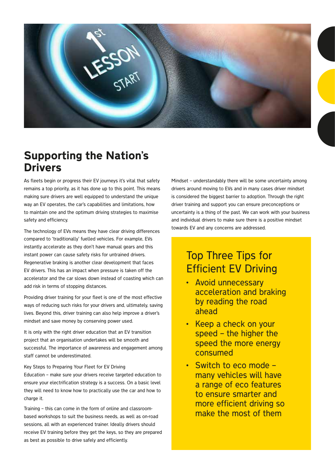

### Supporting the Nation's Drivers

As fleets begin or progress their EV journeys it's vital that safety remains a top priority, as it has done up to this point. This means making sure drivers are well equipped to understand the unique way an EV operates, the car's capabilities and limitations, how to maintain one and the optimum driving strategies to maximise safety and efficiency.

The technology of EVs means they have clear driving differences compared to 'traditionally' fuelled vehicles. For example, EVs instantly accelerate as they don't have manual gears and this instant power can cause safety risks for untrained drivers. Regenerative braking is another clear development that faces EV drivers. This has an impact when pressure is taken off the accelerator and the car slows down instead of coasting which can add risk in terms of stopping distances.

Providing driver training for your fleet is one of the most effective ways of reducing such risks for your drivers and, ultimately, saving lives. Beyond this, driver training can also help improve a driver's mindset and save money by conserving power used.

It is only with the right driver education that an EV transition project that an organisation undertakes will be smooth and successful. The importance of awareness and engagement among staff cannot be underestimated.

Key Steps to Preparing Your Fleet for EV Driving

Education – make sure your drivers receive targeted education to ensure your electrification strategy is a success. On a basic level they will need to know how to practically use the car and how to charge it.

Training – this can come in the form of online and classroombased workshops to suit the business needs, as well as on-road sessions, all with an experienced trainer. Ideally drivers should receive EV training before they get the keys, so they are prepared as best as possible to drive safely and efficiently.

Mindset – understandably there will be some uncertainty among drivers around moving to EVs and in many cases driver mindset is considered the biggest barrier to adoption. Through the right driver training and support you can ensure preconceptions or uncertainty is a thing of the past. We can work with your business and individual drivers to make sure there is a positive mindset towards EV and any concerns are addressed.

### Top Three Tips for Efficient EV Driving

- Avoid unnecessary acceleration and braking by reading the road ahead
- Keep a check on your speed – the higher the speed the more energy consumed
- Switch to eco mode many vehicles will have a range of eco features to ensure smarter and more efficient driving so make the most of them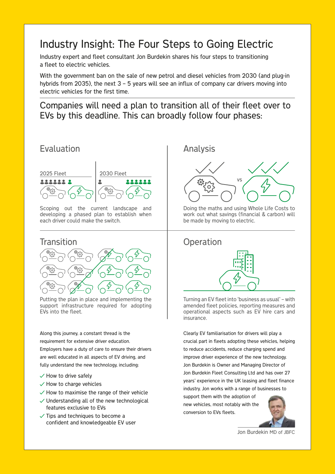### Industry Insight: The Four Steps to Going Electric

Industry expert and fleet consultant Jon Burdekin shares his four steps to transitioning a fleet to electric vehicles.

With the government ban on the sale of new petrol and diesel vehicles from 2030 (and plug-in hybrids from 2035), the next 3 - 5 years will see an influx of company car drivers moving into electric vehicles for the first time.

Companies will need a plan to transition all of their fleet over to EVs by this deadline. This can broadly follow four phases:

### Evaluation | Analysis 2025 Fleet 2030 Fleet **2222222**  $\overline{\mathbf{z}}$ ..... **END** Scoping out the current landscape and

developing a phased plan to establish when each driver could make the switch.



Putting the plan in place and implementing the support infrastructure required for adopting EVs into the fleet.

Along this journey, a constant thread is the requirement for extensive driver education. Employers have a duty of care to ensure their drivers are well educated in all aspects of EV driving, and fully understand the new technology, including:

- $\sqrt{}$  How to drive safely
- $\checkmark$  How to charge vehicles
- $\checkmark$  How to maximise the range of their vehicle
- $\vee$  Understanding all of the new technological features exclusive to EVs
- $\checkmark$  Tips and techniques to become a confident and knowledgeable EV user



Doing the maths and using Whole Life Costs to work out what savings (financial & carbon) will be made by moving to electric.

### Transition and Development of the Contraction



Turning an EV fleet into 'business as usual' – with amended fleet policies, reporting measures and operational aspects such as EV hire cars and insurance.

Clearly EV familiarisation for drivers will play a crucial part in fleets adopting these vehicles, helping to reduce accidents, reduce charging spend and improve driver experience of the new technology. Jon Burdekin is Owner and Managing Director of Jon Burdekin Fleet Consulting Ltd and has over 27 years' experience in the UK leasing and fleet finance industry. Jon works with a range of businesses to

support them with the adoption of new vehicles, most notably with the conversion to EVs fleets.



Jon Burdekin MD of JBFC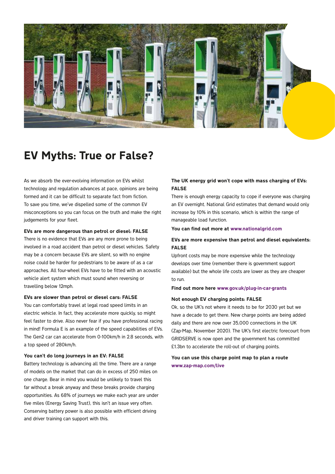

### EV Myths: True or False?

As we absorb the ever-evolving information on EVs whilst technology and regulation advances at pace, opinions are being formed and it can be difficult to separate fact from fiction. To save you time, we've dispelled some of the common EV misconceptions so you can focus on the truth and make the right judgements for your fleet.

#### EVs are more dangerous than petrol or diesel: FALSE

There is no evidence that EVs are any more prone to being involved in a road accident than petrol or diesel vehicles. Safety may be a concern because EVs are silent, so with no engine noise could be harder for pedestrians to be aware of as a car approaches. All four-wheel EVs have to be fitted with an acoustic vehicle alert system which must sound when reversing or travelling below 12mph.

#### EVs are slower than petrol or diesel cars: FALSE

You can comfortably travel at legal road speed limits in an electric vehicle. In fact, they accelerate more quickly, so might feel faster to drive. Also never fear if you have professional racing in mind! Formula E is an example of the speed capabilities of EVs. The Gen2 car can accelerate from 0-100km/h in 2.8 seconds, with a top speed of 280km/h.

#### You can't do long journeys in an EV: FALSE

Battery technology is advancing all the time. There are a range of models on the market that can do in excess of 250 miles on one charge. Bear in mind you would be unlikely to travel this far without a break anyway and these breaks provide charging opportunities. As 68% of journeys we make each year are under five miles (Energy Saving Trust), this isn't an issue very often. Conserving battery power is also possible with efficient driving and driver training can support with this.

### The UK energy grid won't cope with mass charging of EVs: FALSE

There is enough energy capacity to cope if everyone was charging an EV overnight. National Grid estimates that demand would only increase by 10% in this scenario, which is within the range of manageable load function.

#### You can find out more at www.nationalgrid.com

### EVs are more expensive than petrol and diesel equivalents: FALSE

Upfront costs may be more expensive while the technology develops over time (remember there is government support available) but the whole life costs are lower as they are cheaper to run.

#### Find out more here www.gov.uk/plug-in-car-grants

#### Not enough EV charging points: FALSE

Ok, so the UK's not where it needs to be for 2030 yet but we have a decade to get there. New charge points are being added daily and there are now over 35,000 connections in the UK (Zap-Map, November 2020). The UK's first electric forecourt from GRIDSERVE is now open and the government has committed £1.3bn to accelerate the roll-out of charging points.

#### You can use this charge point map to plan a route www.zap-map.com/live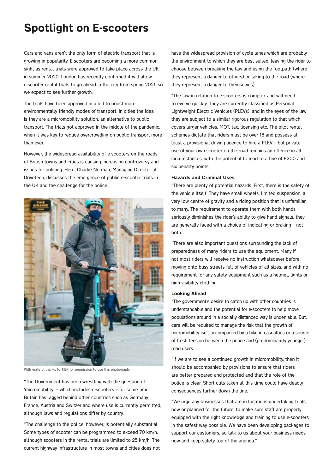### Spotlight on E-scooters

Cars and vans aren't the only form of electric transport that is growing in popularity. E-scooters are becoming a more common sight as rental trials were approved to take place across the UK in summer 2020. London has recently confirmed it will allow e-scooter rental trials to go ahead in the city from spring 2021, so we expect to see further growth.

The trials have been approved in a bid to boost more environmentally friendly modes of transport. In cities the idea is they are a micromobility solution, an alternative to public transport. The trials got approved in the middle of the pandemic, when it was key to reduce overcrowding on public transport more than ever.

However, the widespread availability of e-scooters on the roads of British towns and cities is causing increasing controversy and issues for policing. Here, Charlie Norman, Managing Director at Drivetech, discusses the emergence of public e-scooter trials in the UK and the challenge for the police.



With grateful thanks to TIER for permission to use this photograph.

"The Government has been wrestling with the question of 'micromobility' – which includes e-scooters – for some time. Britain has lagged behind other countries such as Germany, France, Austria and Switzerland where use is currently permitted, although laws and regulations differ by country.

"The challenge to the police, however, is potentially substantial. Some types of scooter can be programmed to exceed 70 km/h, although scooters in the rental trials are limited to 25 km/h. The current highway infrastructure in most towns and cities does not have the widespread provision of cycle lanes which are probably the environment to which they are best suited, leaving the rider to choose between breaking the law and using the footpath (where they represent a danger to others) or taking to the road (where they represent a danger to themselves).

"The law in relation to e-scooters is complex and will need to evolve quickly. They are currently classified as Personal Lightweight Electric Vehicles (PLEVs), and in the eyes of the law they are subject to a similar rigorous regulation to that which covers larger vehicles: MOT, tax, licensing etc. The pilot rental schemes dictate that riders must be over 16 and possess at least a provisional driving licence to hire a PLEV – but private use of your own scooter on the road remains an offence in all circumstances, with the potential to lead to a fine of £300 and six penalty points.

#### Hazards and Criminal Uses

"There are plenty of potential hazards. First, there is the safety of the vehicle itself. They have small wheels, limited suspension, a very low centre of gravity and a riding position that is unfamiliar to many. The requirement to operate them with both hands seriously diminishes the rider's ability to give hand signals; they are generally faced with a choice of indicating or braking – not both.

"There are also important questions surrounding the lack of preparedness of many riders to use the equipment. Many if not most riders will receive no instruction whatsoever before moving onto busy streets full of vehicles of all sizes, and with no requirement for any safety equipment such as a helmet, lights or high-visibility clothing.

#### Looking Ahead

"The government's desire to catch up with other countries is understandable and the potential for e-scooters to help move populations around in a socially distanced way is undeniable. But, care will be required to manage the risk that the growth of micromobility isn't accompanied by a hike in casualties or a source of fresh tension between the police and (predominantly younger) road users.

"If we are to see a continued growth in micromobility, then it should be accompanied by provisions to ensure that riders are better prepared and protected and that the role of the police is clear. Short cuts taken at this time could have deadly consequences further down the line.

"We urge any businesses that are in locations undertaking trials, now or planned for the future, to make sure staff are properly equipped with the right knowledge and training to use e-scooters in the safest way possible. We have been developing packages to support our customers, so talk to us about your business needs now and keep safety top of the agenda."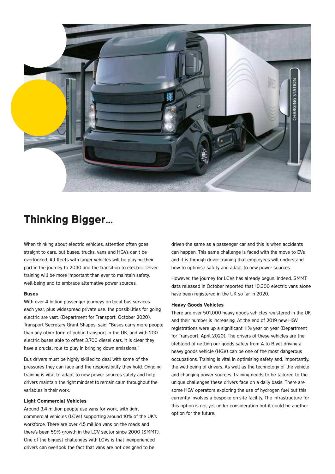

### Thinking Bigger…

When thinking about electric vehicles, attention often goes straight to cars, but buses, trucks, vans and HGVs can't be overlooked. All fleets with larger vehicles will be playing their part in the journey to 2030 and the transition to electric. Driver training will be more important than ever to maintain safety, well-being and to embrace alternative power sources.

#### Buses

With over 4 billion passenger journeys on local bus services each year, plus widespread private use, the possibilities for going electric are vast. (Department for Transport, October 2020). Transport Secretary Grant Shapps, said: "Buses carry more people than any other form of public transport in the UK, and with 200 electric buses able to offset 3,700 diesel cars, it is clear they have a crucial role to play in bringing down emissions."

Bus drivers must be highly skilled to deal with some of the pressures they can face and the responsibility they hold. Ongoing training is vital to adapt to new power sources safely and help drivers maintain the right mindset to remain calm throughout the variables in their work.

#### Light Commercial Vehicles

Around 3.4 million people use vans for work, with light commercial vehicles (LCVs) supporting around 10% of the UK's workforce. There are over 4.5 million vans on the roads and there's been 59% growth in the LCV sector since 2000 (SMMT). One of the biggest challenges with LCVs is that inexperienced drivers can overlook the fact that vans are not designed to be

driven the same as a passenger car and this is when accidents can happen. This same challenge is faced with the move to EVs and it is through driver training that employees will understand how to optimise safety and adapt to new power sources.

However, the journey for LCVs has already begun. Indeed, SMMT data released in October reported that 10,300 electric vans alone have been registered in the UK so far in 2020.

#### Heavy Goods Vehicles

There are over 501,000 heavy goods vehicles registered in the UK and their number is increasing. At the end of 2019 new HGV registrations were up a significant 11% year on year (Department for Transport, April 2020). The drivers of these vehicles are the lifeblood of getting our goods safely from A to B yet driving a heavy goods vehicle (HGV) can be one of the most dangerous occupations. Training is vital in optimising safety and, importantly, the well-being of drivers. As well as the technology of the vehicle and changing power sources, training needs to be tailored to the unique challenges these drivers face on a daily basis. There are some HGV operators exploring the use of hydrogen fuel but this currently involves a bespoke on-site facility. The infrastructure for this option is not yet under consideration but it could be another option for the future.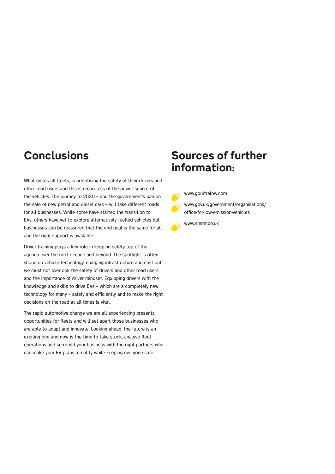### **Conclusions**

What unites all fleets, is prioritising the safety of their drivers and other road users and this is regardless of the power source of the vehicles. The journey to 2030 – and the government's ban on the sale of new petrol and diesel cars – will take different roads for all businesses. While some have started the transition to EVs, others have yet to explore alternatively fuelled vehicles but businesses can be reassured that the end goal is the same for all and the right support is available.

Driver training plays a key role in keeping safety top of the agenda over the next decade and beyond. The spotlight is often shone on vehicle technology, charging infrastructure and cost but we must not overlook the safety of drivers and other road users and the importance of driver mindset. Equipping drivers with the knowledge and skills to drive EVs – which are a completely new technology for many – safely and efficiently and to make the right decisions on the road at all times is vital.

The rapid automotive change we are all experiencing presents opportunities for fleets and will set apart those businesses who are able to adapt and innovate. Looking ahead, the future is an exciting one and now is the time to take stock, analyse fleet operations and surround your business with the right partners who can make your EV plans a reality while keeping everyone safe.

### Sources of further information:



www.goultralow.com

www.gov.uk/government/organisations/ office-for-low-emission-vehicles

www.smmt.co.uk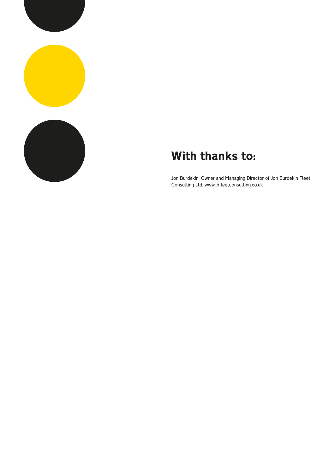

## With thanks to:

Jon Burdekin, Owner and Managing Director of Jon Burdekin Fleet Consulting Ltd. www.jbfleetconsulting.co.uk